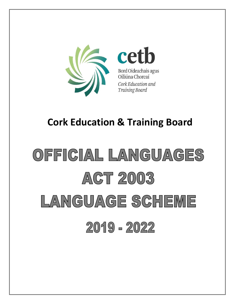

cetb Bord Oideachais agus Oiliúna Chorcaí Cork Education and Training Board

# **Cork Education & Training Board**

# OFFICIAL LANGUAGES  $ACT2003$ LANGUAGE SCHEME  $2019 - 2022$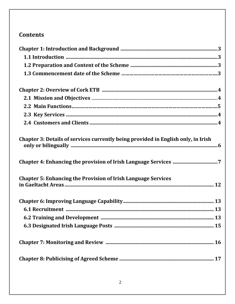# **Contents**

| Chapter 3: Details of services currently being provided in English only, in Irish<br>only or bilingually manual communications are controlled to the control of the control of |
|--------------------------------------------------------------------------------------------------------------------------------------------------------------------------------|
|                                                                                                                                                                                |
| <b>Chapter 5: Enhancing the Provision of Irish Language Services</b>                                                                                                           |
|                                                                                                                                                                                |
|                                                                                                                                                                                |
|                                                                                                                                                                                |
|                                                                                                                                                                                |
|                                                                                                                                                                                |
|                                                                                                                                                                                |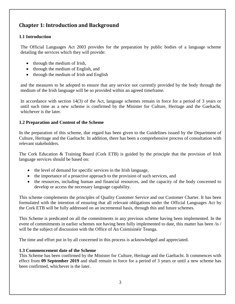# <span id="page-2-0"></span>**Chapter 1: Introduction and Background**

### <span id="page-2-1"></span>**1.1 Introduction**

The Official Languages Act 2003 provides for the preparation by public bodies of a language scheme detailing the services which they will provide:

- through the medium of Irish,
- through the medium of English, and
- through the medium of Irish and English

and the measures to be adopted to ensure that any service not currently provided by the body through the medium of the Irish language will be so provided within an agreed timeframe.

In accordance with section 14(3) of the Act, language schemes remain in force for a period of 3 years or until such time as a new scheme is confirmed by the Minister for Culture, Heritage and the Gaeltacht, whichever is the later.

#### <span id="page-2-2"></span>**1.2 Preparation and Content of the Scheme**

In the preparation of this scheme, due regard has been given to the Guidelines issued by the Department of Culture, Heritage and the Gaeltacht. In addition, there has been a comprehensive process of consultation with relevant stakeholders.

The Cork Education & Training Board (Cork ETB) is guided by the principle that the provision of Irish language services should be based on:

- the level of demand for specific services in the Irish language,
- the importance of a proactive approach to the provision of such services, and
- the resources, including human and financial resources, and the capacity of the body concerned to develop or access the necessary language capability.

This scheme complements the principles of Quality Customer Service and our Customer Charter. It has been formulated with the intention of ensuring that all relevant obligations under the Official Languages Act by the Cork ETB will be fully addressed on an incremental basis, through this and future schemes.

This Scheme is predicated on all the commitments in any previous scheme having been implemented. In the event of commitments in earlier schemes not having been fully implemented to date, this matter has been /is / will be the subject of discussion with the Office of An Coimisinéir Teanga.

The time and effort put in by all concerned in this process is acknowledged and appreciated.

### **1.3 Commencement date of the Scheme**

This Scheme has been confirmed by the Minister for Culture, Heritage and the Gaeltacht. It commences with effect from **09 September 2019** and shall remain in force for a period of 3 years or until a new scheme has been confirmed, whichever is the later.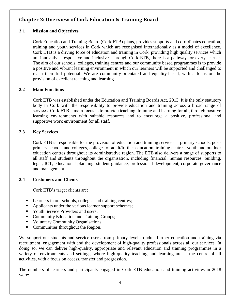# <span id="page-3-0"></span>**Chapter 2: Overview of Cork Education & Training Board**

#### <span id="page-3-1"></span>**2.1 Mission and Objectives**

Cork Education and Training Board (Cork ETB) plans, provides supports and co-ordinates education, training and youth services in Cork which are recognised internationally as a model of excellence. Cork ETB is a driving force of education and training in Cork, providing high quality services which are innovative, responsive and inclusive. Through Cork ETB, there is a pathway for every learner. The aim of our schools, colleges, training centres and our community based programmes is to provide a positive and vibrant learning environment in which our learners will be supported and challenged to reach their full potential. We are community-orientated and equality-based, with a focus on the provision of excellent teaching and learning.

#### **2.2 Main Functions**

Cork ETB was established under the Education and Training Boards Act, 2013. It is the only statutory body in Cork with the responsibility to provide education and training across a broad range of services. Cork ETB's main focus is to provide teaching, training and learning for all, through positive learning environments with suitable resources and to encourage a positive, professional and supportive work environment for all staff.

#### **2.3 Key Services**

Cork ETB is responsible for the provision of education and training services at primary schools, postprimary schools and colleges, colleges of adult/further education, training centres, youth and outdoor education centres throughout its administrative region. The ETB also delivers a range of supports to all staff and students throughout the organisation, including financial, human resources, building, legal, ICT, educational planning, student guidance, professional development, corporate governance and management.

#### **2.4 Customers and Clients**

Cork ETB's target clients are:

- Learners in our schools, colleges and training centres;
- Applicants under the various learner support schemes;
- Youth Service Providers and users:
- Community Education and Training Groups;
- Voluntary Community Organisations;
- Communities throughout the Region.

We support our students and service users from primary level to adult further education and training via recruitment, engagement with and the development of high-quality professionals across all our services. In doing so, we can deliver high-quality, appropriate and relevant education and training programmes in a variety of environments and settings, where high-quality teaching and learning are at the centre of all activities, with a focus on access, transfer and progression.

The numbers of learners and participants engaged in Cork ETB education and training activities in 2018 were: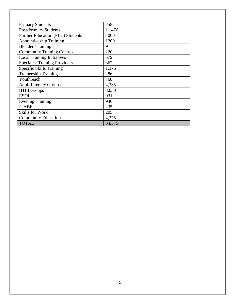<span id="page-4-0"></span>

| <b>Primary Students</b>              | 258    |
|--------------------------------------|--------|
| <b>Post-Primary Students</b>         | 11,476 |
| Further Education (PLC) Students     | 4000   |
| <b>Apprenticeship Training</b>       | 1200   |
| <b>Blended Training</b>              | 9      |
| <b>Community Training Centres</b>    | 220    |
| <b>Local Training Initiatives</b>    | 579    |
| <b>Specialist Training Providers</b> | 362    |
| Specific Skills Training             | 1,376  |
| <b>Traineeship Training</b>          | 286    |
| Youthreach                           | 768    |
| <b>Adult Literacy Groups</b>         | 4,335  |
| <b>BTEI Groups</b>                   | 3,030  |
| <b>ESOL</b>                          | 931    |
| <b>Evening Training</b>              | 930    |
| <b>ITABE</b>                         | 235    |
| Skills for Work                      | 205    |
| <b>Community Education</b>           | 4,375  |
| <b>TOTAL</b>                         | 34,575 |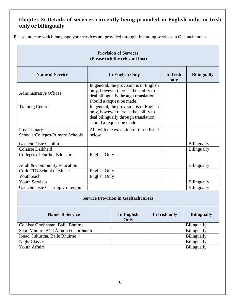# **Chapter 3: Details of services currently being provided in English only, in Irish only or bilingually**

Please indicate which language your services are provided through, including services in Gaeltacht areas.

<span id="page-5-0"></span>

| <b>Provision of Services</b><br>(Please tick the relevant box) |                     |                                                                                                                                                       |  |                  |                    |
|----------------------------------------------------------------|---------------------|-------------------------------------------------------------------------------------------------------------------------------------------------------|--|------------------|--------------------|
| <b>Name of Service</b>                                         |                     | In English Only                                                                                                                                       |  | In Irish<br>only | <b>Bilingually</b> |
| <b>Administrative Offices</b>                                  |                     | In general, the provision is in English<br>only, however there is the ability to<br>deal bilingually through translation<br>should a request be made. |  |                  |                    |
| <b>Training Centre</b>                                         |                     | In general, the provision is in English<br>only, however there is the ability to<br>deal bilingually through translation<br>should a request be made. |  |                  |                    |
| Post Primary<br>Schools/Colleges/Primary Schools               | below               | All, with the exception of those listed                                                                                                               |  |                  |                    |
| Gaelcholáiste Choilm                                           |                     |                                                                                                                                                       |  |                  | Bilingually        |
| Coláiste Daibhéid                                              |                     |                                                                                                                                                       |  |                  | Bilingually        |
| Colleges of Further Education                                  | English Only        |                                                                                                                                                       |  |                  |                    |
| Adult & Community Education                                    |                     |                                                                                                                                                       |  |                  | <b>Bilingually</b> |
| <b>Cork ETB School of Music</b>                                | <b>English Only</b> |                                                                                                                                                       |  |                  |                    |
| Youthreach                                                     | English Only        |                                                                                                                                                       |  |                  |                    |
| <b>Youth Services</b>                                          |                     |                                                                                                                                                       |  |                  | Bilingually        |
| Gaelcholáiste Charraig Uí Leighin                              |                     |                                                                                                                                                       |  |                  | Bilingually        |
| <b>Service Provision in Gaeltacht areas</b>                    |                     |                                                                                                                                                       |  |                  |                    |
| <b>Name of Service</b>                                         |                     | In English<br>Only                                                                                                                                    |  | In Irish only    | <b>Bilingually</b> |
| Coláiste Ghobnatan, Baile Bhuirne                              |                     |                                                                                                                                                       |  |                  | Bilingually        |
| Scoil Mhuire, Béal Átha'n Ghaorthaidh                          |                     |                                                                                                                                                       |  |                  | Bilingually        |
| Ionad Cultúrtha, Baile Bhuirne                                 |                     |                                                                                                                                                       |  |                  | Bilingually        |
| <b>Night Classes</b>                                           |                     |                                                                                                                                                       |  |                  | Bilingually        |
| Youth Affairs                                                  |                     |                                                                                                                                                       |  |                  | Bilingually        |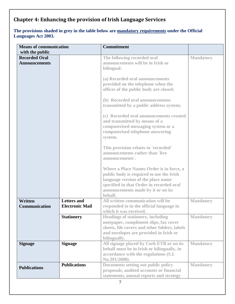# **Chapter 4: Enhancing the provision of Irish Language Services**

**The provisions shaded in grey in the table below are mandatory requirements under the Official Languages Act 2003.**

| <b>Means of communication</b>                |                                              | <b>Commitment</b>                                                                                                                                                                                                              |                  |
|----------------------------------------------|----------------------------------------------|--------------------------------------------------------------------------------------------------------------------------------------------------------------------------------------------------------------------------------|------------------|
| with the public                              |                                              |                                                                                                                                                                                                                                |                  |
| <b>Recorded Oral</b><br><b>Announcements</b> |                                              | The following recorded oral<br>announcements will be in Irish or<br>bilingual:                                                                                                                                                 | <b>Mandatory</b> |
|                                              |                                              | (a) Recorded oral announcements<br>provided on the telephone when the<br>offices of the public body are closed;                                                                                                                |                  |
|                                              |                                              | (b) Recorded oral announcements<br>transmitted by a public address system;                                                                                                                                                     |                  |
|                                              |                                              | (c) Recorded oral announcements created<br>and transmitted by means of a<br>computerised messaging system or a<br>computerised telephone answering<br>system.                                                                  |                  |
|                                              |                                              | This provision relates to 'recorded'<br>announcements rather than 'live<br>announcements'.                                                                                                                                     |                  |
|                                              |                                              | <b>Where a Place Names Order is in force, a</b><br>public body is required to use the Irish<br>language version of the place name<br>specified in that Order in recorded oral<br>announcements made by it or on its<br>behalf. |                  |
| <b>Written</b><br><b>Communication</b>       | <b>Letters and</b><br><b>Electronic Mail</b> | All written communication will be<br>responded to in the official language in<br>which it was received.                                                                                                                        | <b>Mandatory</b> |
|                                              | <b>Stationery</b>                            | <b>Headings of stationery, including</b><br>notepaper, compliment slips, fax cover<br>sheets, file covers and other folders, labels<br>and envelopes are provided in Irish or<br>bilingually.                                  | <b>Mandatory</b> |
| <b>Signage</b>                               | <b>Signage</b>                               | All signage placed by Cork ETB or on its<br>behalf must be in Irish or bilingually, in<br>accordance with the regulations (S.I.<br>No.391/2008).                                                                               | <b>Mandatory</b> |
| <b>Publications</b>                          | <b>Publications</b>                          | Documents setting out public policy<br>proposals, audited accounts or financial<br>statements, annual reports and strategy                                                                                                     | <b>Mandatory</b> |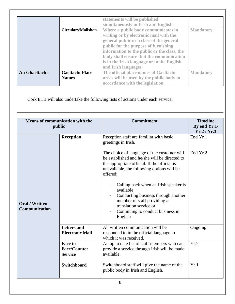|                      | <b>Circulars/Mailshots</b>             | statements will be published<br>simultaneously in Irish and English.<br>Where a public body communicates in<br>writing or by electronic mail with the<br>general public or a class of the general<br>public for the purpose of furnishing | <b>Mandatory</b> |
|----------------------|----------------------------------------|-------------------------------------------------------------------------------------------------------------------------------------------------------------------------------------------------------------------------------------------|------------------|
|                      |                                        | information to the public or the class, the<br>body shall ensure that the communication<br>is in the Irish language or in the English<br>and Irish languages.                                                                             |                  |
| <b>An Ghaeltacht</b> | <b>Gaeltacht Place</b><br><b>Names</b> | The official place names of Gaeltacht<br>areas will be used by the public body in<br>accordance with the legislation.                                                                                                                     | <b>Mandatory</b> |

Cork ETB will also undertake the following lists of actions under each service.

| <b>Means of communication with the</b><br>public |                                                         | <b>Commitment</b>                                                                                                                                                                                      | <b>Timeline</b><br>By end Yr.1/<br>Yr.2 / Yr.3 |
|--------------------------------------------------|---------------------------------------------------------|--------------------------------------------------------------------------------------------------------------------------------------------------------------------------------------------------------|------------------------------------------------|
|                                                  | <b>Reception</b>                                        | Reception staff are familiar with basic<br>greetings in Irish.                                                                                                                                         | End Yr.1                                       |
|                                                  |                                                         | The choice of language of the customer will<br>be established and he/she will be directed to<br>the appropriate official. If the official is<br>unavailable, the following options will be<br>offered: | End Yr.2                                       |
| <b>Oral / Written</b><br><b>Communication</b>    |                                                         | Calling back when an Irish speaker is<br>available<br>Conducting business through another<br>member of staff providing a<br>translation service or<br>Continuing to conduct business in<br>English     |                                                |
|                                                  | <b>Letters and</b><br><b>Electronic Mail</b>            | All written communication will be<br>responded to in the official language in<br>which it was received.                                                                                                | Ongoing                                        |
|                                                  | <b>Face to</b><br><b>Face/Counter</b><br><b>Service</b> | An up to date list of staff members who can<br>provide a service through Irish will be made<br>available.                                                                                              | Yr.2                                           |
|                                                  | <b>Switchboard</b>                                      | Switchboard staff will give the name of the<br>public body in Irish and English.                                                                                                                       | Yr.1                                           |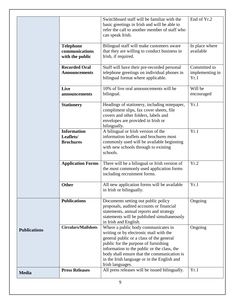|                     |                                                       | Switchboard staff will be familiar with the<br>basic greetings in Irish and will be able to<br>refer the call to another member of staff who<br>can speak Irish.                                                                                                                                                                   | End of Yr.2                             |
|---------------------|-------------------------------------------------------|------------------------------------------------------------------------------------------------------------------------------------------------------------------------------------------------------------------------------------------------------------------------------------------------------------------------------------|-----------------------------------------|
|                     | <b>Telephone</b><br>communications<br>with the public | Bilingual staff will make customers aware<br>that they are willing to conduct business in<br>Irish, if required.                                                                                                                                                                                                                   | In place where<br>available             |
|                     | <b>Recorded Oral</b><br><b>Announcements</b>          | Staff will have their pre-recorded personal<br>telephone greetings on individual phones in<br>bilingual format where applicable.                                                                                                                                                                                                   | Committed to<br>implementing in<br>Yr.1 |
|                     | Live<br>announcements                                 | 10% of live oral announcements will be<br>bilingual.                                                                                                                                                                                                                                                                               | Will be<br>encouraged                   |
|                     | <b>Stationery</b>                                     | Headings of stationery, including notepaper,<br>compliment slips, fax cover sheets, file<br>covers and other folders, labels and<br>envelopes are provided in Irish or<br>bilingually.                                                                                                                                             | Yr.1                                    |
|                     | <b>Information</b><br>Leaflets/<br><b>Brochures</b>   | A bilingual or Irish version of the<br>information leaflets and brochures most<br>commonly used will be available beginning<br>with new schools through to existing<br>schools.                                                                                                                                                    | Yr.1                                    |
|                     | <b>Application Forms</b>                              | There will be a bilingual or Irish version of<br>the most commonly used application forms<br>including recruitment forms.                                                                                                                                                                                                          | Yr.2                                    |
|                     | <b>Other</b>                                          | All new application forms will be available<br>in Irish or bilingually.                                                                                                                                                                                                                                                            | Yr.1                                    |
|                     | <b>Publications</b>                                   | Documents setting out public policy<br>proposals, audited accounts or financial<br>statements, annual reports and strategy<br>statements will be published simultaneously<br>in Irish and English.                                                                                                                                 | Ongoing                                 |
| <b>Publications</b> | <b>Circulars/Mailshots</b>                            | Where a public body communicates in<br>writing or by electronic mail with the<br>general public or a class of the general<br>public for the purpose of furnishing<br>information to the public or the class, the<br>body shall ensure that the communication is<br>in the Irish language or in the English and<br>Irish languages. | Ongoing                                 |
| <b>Media</b>        | <b>Press Releases</b>                                 | All press releases will be issued bilingually.                                                                                                                                                                                                                                                                                     | Yr.1                                    |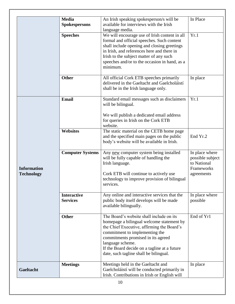|                                         | <b>Media</b><br><b>Spokespersons</b>  | An Irish speaking spokesperson/s will be<br>available for interviews with the Irish<br>language media.                                                                                                                                                                                                                    | In Place                                                                      |
|-----------------------------------------|---------------------------------------|---------------------------------------------------------------------------------------------------------------------------------------------------------------------------------------------------------------------------------------------------------------------------------------------------------------------------|-------------------------------------------------------------------------------|
|                                         | <b>Speeches</b>                       | We will encourage use of Irish content in all<br>formal and official speeches. Such content<br>shall include opening and closing greetings<br>in Irish, and references here and there in<br>Irish to the subject matter of any such<br>speeches and/or to the occasion in hand, as a<br>minimum.                          | Yr.1                                                                          |
|                                         | <b>Other</b>                          | All official Cork ETB speeches primarily<br>delivered in the Gaeltacht and Gaelcholáistí<br>shall be in the Irish language only.                                                                                                                                                                                          | In place                                                                      |
|                                         | <b>Email</b>                          | Standard email messages such as disclaimers<br>will be bilingual.<br>We will publish a dedicated email address<br>for queries in Irish on the Cork ETB                                                                                                                                                                    | Yr.1                                                                          |
| <b>Information</b><br><b>Technology</b> |                                       | website.                                                                                                                                                                                                                                                                                                                  |                                                                               |
|                                         | <b>Websites</b>                       | The static material on the CETB home page<br>and the specified main pages on the public<br>body's website will be available in Irish.                                                                                                                                                                                     | End Yr.2                                                                      |
|                                         | <b>Computer Systems</b>               | Any new computer system being installed<br>will be fully capable of handling the<br>Irish language.<br>Cork ETB will continue to actively use<br>technology to improve provision of bilingual<br>services.                                                                                                                | In place where<br>possible subject<br>to National<br>Frameworks<br>agreements |
|                                         | <b>Interactive</b><br><b>Services</b> | Any online and interactive services that the<br>public body itself develops will be made<br>available bilingually.                                                                                                                                                                                                        | In place where<br>possible                                                    |
|                                         | <b>Other</b>                          | The Board's website shall include on its<br>homepage a bilingual welcome statement by<br>the Chief Executive, affirming the Board's<br>commitment to implementing the<br>commitments promised in its agreed<br>language scheme.<br>If the Board decide on a tagline at a future<br>date, such tagline shall be bilingual. | End of Yr1                                                                    |
| Gaeltacht                               | <b>Meetings</b>                       | Meetings held in the Gaeltacht and<br>Gaelcholáistí will be conducted primarily in<br>Irish. Contributions in Irish or English will                                                                                                                                                                                       | In place                                                                      |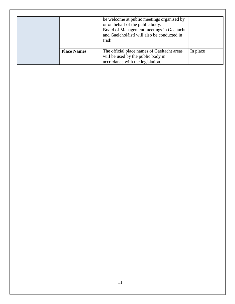|                    | be welcome at public meetings organised by<br>or on behalf of the public body.<br>Board of Management meetings in Gaeltacht<br>and Gaelcholáistí will also be conducted in<br>Irish. |          |
|--------------------|--------------------------------------------------------------------------------------------------------------------------------------------------------------------------------------|----------|
| <b>Place Names</b> | The official place names of Gaeltacht areas<br>will be used by the public body in<br>accordance with the legislation.                                                                | In place |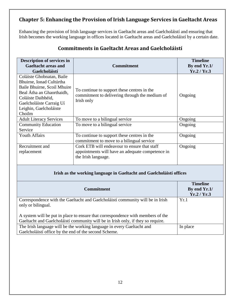# <span id="page-11-0"></span>**Chapter 5: Enhancing the Provision of Irish Language Services in Gaeltacht Areas**

Enhancing the provision of Irish language services in Gaeltacht areas and Gaelcholáistí and ensuring that Irish becomes the working language in offices located in Gaeltacht areas and Gaelcholáistí by a certain date.

| Description of services in<br><b>Gaeltacht areas and</b><br><b>Gaelcholáistí</b>                                                                                                                        | <b>Commitment</b>                                                                                                       | <b>Timeline</b><br>By end Yr.1/<br>Yr.2/Yr.3 |
|---------------------------------------------------------------------------------------------------------------------------------------------------------------------------------------------------------|-------------------------------------------------------------------------------------------------------------------------|----------------------------------------------|
| Coláiste Ghobnatan, Baile<br>Bhuirne, Ionad Cultúrtha<br>Baile Bhuirne, Scoil Mhuire<br>Beal Átha an Ghaorthaidh,<br>Coláiste Daibhéid,<br>Gaelcholáiste Carraig Uí<br>Leighin, Gaelcholáiste<br>Choilm | To continue to support these centres in the<br>commitment to delivering through the medium of<br>Irish only             | Ongoing                                      |
| <b>Adult Literacy Services</b>                                                                                                                                                                          | To move to a bilingual service                                                                                          | Ongoing                                      |
| <b>Community Education</b><br>Service                                                                                                                                                                   | To move to a bilingual service                                                                                          | Ongoing                                      |
| <b>Youth Affairs</b>                                                                                                                                                                                    | To continue to support these centres in the<br>commitment to move to a bilingual service                                | Ongoing                                      |
| Recruitment and<br>replacement                                                                                                                                                                          | Cork ETB will endeavour to ensure that staff<br>appointments will have an adequate competence in<br>the Irish language. | Ongoing                                      |

# **Commitments in Gaeltacht Areas and Gaelcholáistí**

#### **Irish as the working language in Gaeltacht and Gaelcholáistí offices**

<span id="page-11-1"></span>

| <b>Commitment</b>                                                                                                                                                   | <b>Timeline</b><br>By end Yr.1/<br>Yr.2/Yr.3 |
|---------------------------------------------------------------------------------------------------------------------------------------------------------------------|----------------------------------------------|
| Correspondence with the Gaeltacht and Gaelcholáistí community will be in Irish<br>only or bilingual.                                                                | Yr.1                                         |
| A system will be put in place to ensure that correspondence with members of the<br>Gaeltacht and Gaelcholáistí community will be in Irish only, if they so require. |                                              |
| The Irish language will be the working language in every Gaeltacht and<br>Gaelcholáistí office by the end of the second Scheme.                                     | In place                                     |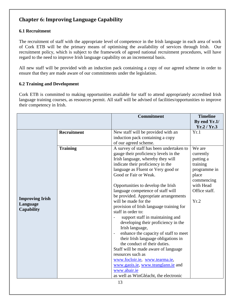# **Chapter 6: Improving Language Capability**

#### <span id="page-12-0"></span>**6.1 Recruitment**

The recruitment of staff with the appropriate level of competence in the Irish language in each area of work of Cork ETB will be the primary means of optimising the availability of services through Irish. Our recruitment policy, which is subject to the framework of agreed national recruitment procedures, will have regard to the need to improve Irish language capability on an incremental basis.

All new staff will be provided with an induction pack containing a copy of our agreed scheme in order to ensure that they are made aware of our commitments under the legislation.

#### <span id="page-12-1"></span>**6.2 Training and Development**

Cork ETB is committed to making opportunities available for staff to attend appropriately accredited Irish language training courses, as resources permit. All staff will be advised of facilities/opportunities to improve their competency in Irish.

|                        |                 | <b>Commitment</b>                                                       | <b>Timeline</b><br>By end Yr.1/ |
|------------------------|-----------------|-------------------------------------------------------------------------|---------------------------------|
|                        |                 |                                                                         | Yr.2 / Yr.3                     |
|                        | Recruitment     | New staff will be provided with an                                      | Yr.1                            |
|                        |                 | induction pack containing a copy                                        |                                 |
|                        |                 | of our agreed scheme.                                                   |                                 |
|                        | <b>Training</b> | A survey of staff has been undertaken to                                | We are                          |
|                        |                 | gauge their proficiency levels in the                                   | currently                       |
|                        |                 | Irish language, whereby they will                                       | putting a                       |
|                        |                 | indicate their proficiency in the                                       | training                        |
|                        |                 | language as Fluent or Very good or                                      | programme in                    |
|                        |                 | Good or Fair or Weak.                                                   | place                           |
|                        |                 |                                                                         | commencing<br>with Head         |
|                        |                 | Opportunities to develop the Irish<br>language competence of staff will | Office staff.                   |
|                        |                 | be provided. Appropriate arrangements                                   |                                 |
| <b>Improving Irish</b> |                 | will be made for the                                                    | Yr.2                            |
| Language               |                 | provision of Irish language training for                                |                                 |
| <b>Capability</b>      |                 | staff in order to:                                                      |                                 |
|                        |                 | support staff in maintaining and                                        |                                 |
|                        |                 | developing their proficiency in the                                     |                                 |
|                        |                 | Irish language,                                                         |                                 |
|                        |                 | enhance the capacity of staff to meet                                   |                                 |
|                        |                 | their Irish language obligations in                                     |                                 |
|                        |                 | the conduct of their duties.                                            |                                 |
|                        |                 | Staff will be made aware of language                                    |                                 |
|                        |                 | resources such as                                                       |                                 |
|                        |                 | www.focloir.ie, www.tearma.ie,                                          |                                 |
|                        |                 | www.gaois.ie, www.teanglann.ie and                                      |                                 |
|                        |                 | www.abair.ie                                                            |                                 |
|                        |                 | as well as WinGléacht, the electronic                                   |                                 |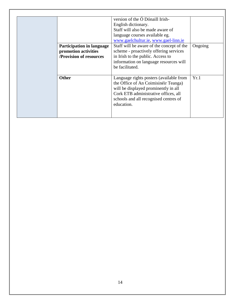<span id="page-13-0"></span>

| Ongoing |
|---------|
|         |
|         |
|         |
|         |
|         |
|         |
|         |
|         |
|         |
|         |
|         |
|         |
|         |
|         |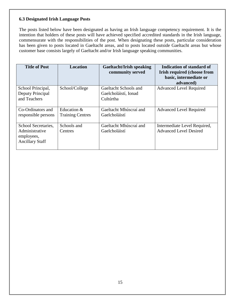#### **6.3 Designated Irish Language Posts**

The posts listed below have been designated as having an Irish language competency requirement. It is the intention that holders of these posts will have achieved specified accredited standards in the Irish language, commensurate with the responsibilities of the post. When designating these posts, particular consideration has been given to posts located in Gaeltacht areas, and to posts located outside Gaeltacht areas but whose customer base consists largely of Gaeltacht and/or Irish language speaking communities.

| <b>Title of Post</b>                                                          | Location                               | <b>Gaeltacht/Irish speaking</b><br>community served        | Indication of standard of<br><b>Irish required (choose from</b><br>basic, intermediate or<br>advanced) |
|-------------------------------------------------------------------------------|----------------------------------------|------------------------------------------------------------|--------------------------------------------------------------------------------------------------------|
| School Principal,<br>Deputy Principal<br>and Teachers                         | School/College                         | Gaeltacht Schools and<br>Gaelcholáistí, Ionad<br>Cultúrtha | <b>Advanced Level Required</b>                                                                         |
| Co-Ordinators and<br>responsible persons                                      | Education &<br><b>Training Centres</b> | Gaeltacht Mhúscraí and<br>Gaelcholáistí                    | <b>Advanced Level Required</b>                                                                         |
| School Secretaries,<br>Administrative<br>employees,<br><b>Ancillary Staff</b> | Schools and<br><b>Centres</b>          | Gaeltacht Mhúscraí and<br>Gaelcholáistí                    | Intermediate Level Required,<br><b>Advanced Level Desired</b>                                          |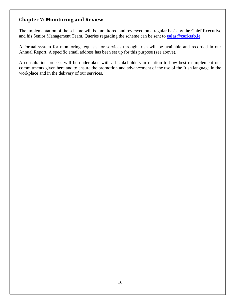## <span id="page-15-0"></span>**Chapter 7: Monitoring and Review**

The implementation of the scheme will be monitored and reviewed on a regular basis by the Chief Executive and his Senior Management Team. Queries regarding the scheme can be sent to **[eolas@corketb.ie](mailto:eolas@corketb.ie)**.

A formal system for monitoring requests for services through Irish will be available and recorded in our Annual Report. A specific email address has been set up for this purpose (see above).

A consultation process will be undertaken with all stakeholders in relation to how best to implement our commitments given here and to ensure the promotion and advancement of the use of the Irish language in the workplace and in the delivery of our services.